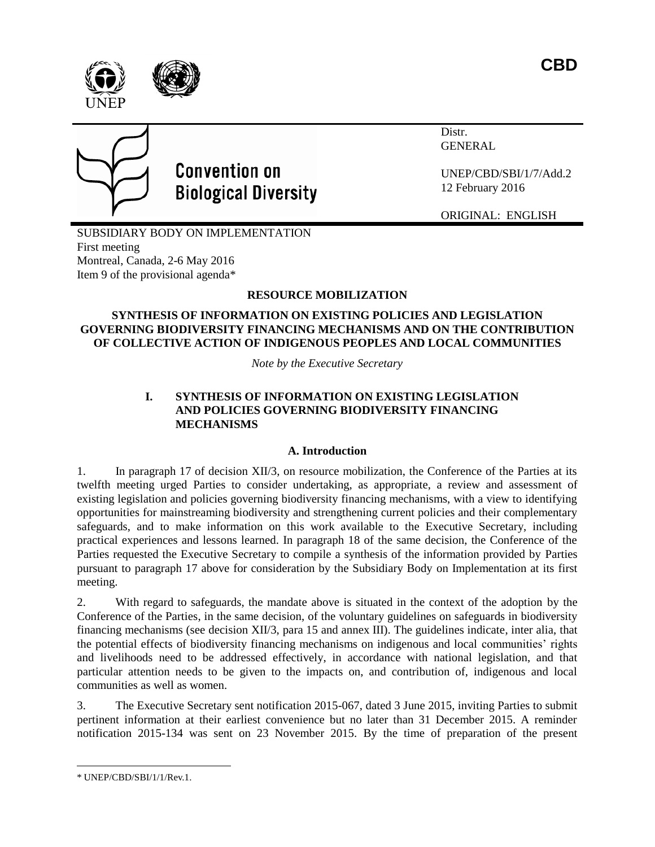



# **Convention on Biological Diversity**

Distr. GENERAL

UNEP/CBD/SBI/1/7/Add.2 12 February 2016

ORIGINAL: ENGLISH

SUBSIDIARY BODY ON IMPLEMENTATION First meeting Montreal, Canada, 2-6 May 2016 Item 9 of the provisional agenda\*

# **RESOURCE MOBILIZATION**

## **SYNTHESIS OF INFORMATION ON EXISTING POLICIES AND LEGISLATION GOVERNING BIODIVERSITY FINANCING MECHANISMS AND ON THE CONTRIBUTION OF COLLECTIVE ACTION OF INDIGENOUS PEOPLES AND LOCAL COMMUNITIES**

*Note by the Executive Secretary*

## **I. SYNTHESIS OF INFORMATION ON EXISTING LEGISLATION AND POLICIES GOVERNING BIODIVERSITY FINANCING MECHANISMS**

## **A. Introduction**

1. In paragraph 17 of decision XII/3, on resource mobilization, the Conference of the Parties at its twelfth meeting urged Parties to consider undertaking, as appropriate, a review and assessment of existing legislation and policies governing biodiversity financing mechanisms, with a view to identifying opportunities for mainstreaming biodiversity and strengthening current policies and their complementary safeguards, and to make information on this work available to the Executive Secretary, including practical experiences and lessons learned. In paragraph 18 of the same decision, the Conference of the Parties requested the Executive Secretary to compile a synthesis of the information provided by Parties pursuant to paragraph 17 above for consideration by the Subsidiary Body on Implementation at its first meeting.

2. With regard to safeguards, the mandate above is situated in the context of the adoption by the Conference of the Parties, in the same decision, of the voluntary guidelines on safeguards in biodiversity financing mechanisms (see decision XII/3, para 15 and annex III). The guidelines indicate, inter alia, that the potential effects of biodiversity financing mechanisms on indigenous and local communities' rights and livelihoods need to be addressed effectively, in accordance with national legislation, and that particular attention needs to be given to the impacts on, and contribution of, indigenous and local communities as well as women.

3. The Executive Secretary sent notification 2015-067, dated 3 June 2015, inviting Parties to submit pertinent information at their earliest convenience but no later than 31 December 2015. A reminder notification 2015-134 was sent on 23 November 2015. By the time of preparation of the present

 $\overline{a}$ \* UNEP/CBD/SBI/1/1/Rev.1.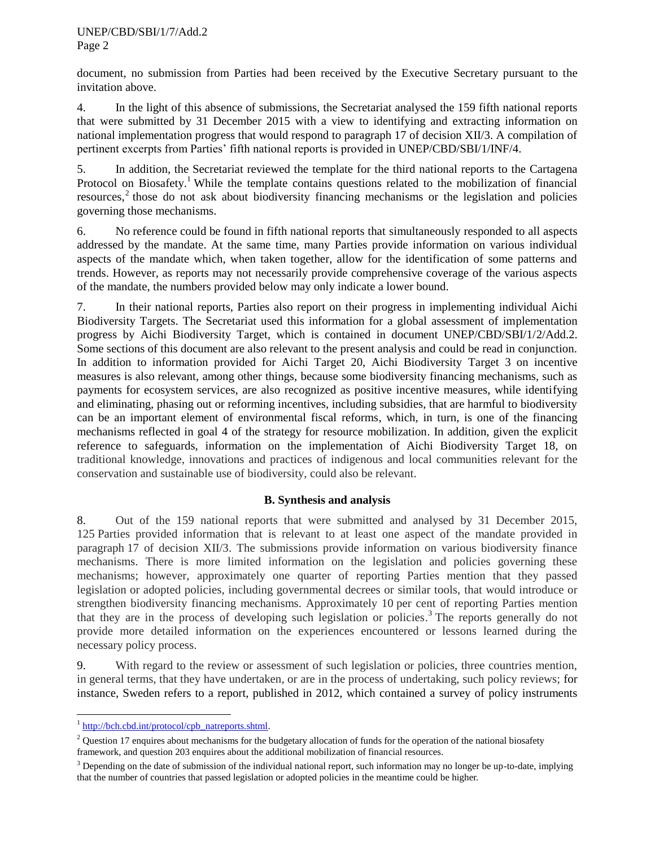#### UNEP/CBD/SBI/1/7/Add.2 Page 2

document, no submission from Parties had been received by the Executive Secretary pursuant to the invitation above.

4. In the light of this absence of submissions, the Secretariat analysed the 159 fifth national reports that were submitted by 31 December 2015 with a view to identifying and extracting information on national implementation progress that would respond to paragraph 17 of decision XII/3. A compilation of pertinent excerpts from Parties' fifth national reports is provided in UNEP/CBD/SBI/1/INF/4.

5. In addition, the Secretariat reviewed the template for the third national reports to the Cartagena Protocol on Biosafety.<sup>1</sup> While the template contains questions related to the mobilization of financial resources,<sup>2</sup> those do not ask about biodiversity financing mechanisms or the legislation and policies governing those mechanisms.

6. No reference could be found in fifth national reports that simultaneously responded to all aspects addressed by the mandate. At the same time, many Parties provide information on various individual aspects of the mandate which, when taken together, allow for the identification of some patterns and trends. However, as reports may not necessarily provide comprehensive coverage of the various aspects of the mandate, the numbers provided below may only indicate a lower bound.

7. In their national reports, Parties also report on their progress in implementing individual Aichi Biodiversity Targets. The Secretariat used this information for a global assessment of implementation progress by Aichi Biodiversity Target, which is contained in document UNEP/CBD/SBI/1/2/Add.2. Some sections of this document are also relevant to the present analysis and could be read in conjunction. In addition to information provided for Aichi Target 20, Aichi Biodiversity Target 3 on incentive measures is also relevant, among other things, because some biodiversity financing mechanisms, such as payments for ecosystem services, are also recognized as positive incentive measures, while identifying and eliminating, phasing out or reforming incentives, including subsidies, that are harmful to biodiversity can be an important element of environmental fiscal reforms, which, in turn, is one of the financing mechanisms reflected in goal 4 of the strategy for resource mobilization. In addition, given the explicit reference to safeguards, information on the implementation of Aichi Biodiversity Target 18, on traditional knowledge, innovations and practices of indigenous and local communities relevant for the conservation and sustainable use of biodiversity, could also be relevant.

# **B. Synthesis and analysis**

8. Out of the 159 national reports that were submitted and analysed by 31 December 2015, 125 Parties provided information that is relevant to at least one aspect of the mandate provided in paragraph 17 of decision XII/3. The submissions provide information on various biodiversity finance mechanisms. There is more limited information on the legislation and policies governing these mechanisms; however, approximately one quarter of reporting Parties mention that they passed legislation or adopted policies, including governmental decrees or similar tools, that would introduce or strengthen biodiversity financing mechanisms. Approximately 10 per cent of reporting Parties mention that they are in the process of developing such legislation or policies. <sup>3</sup> The reports generally do not provide more detailed information on the experiences encountered or lessons learned during the necessary policy process.

9. With regard to the review or assessment of such legislation or policies, three countries mention, in general terms, that they have undertaken, or are in the process of undertaking, such policy reviews; for instance, Sweden refers to a report, published in 2012, which contained a survey of policy instruments

l

<sup>&</sup>lt;sup>1</sup> [http://bch.cbd.int/protocol/cpb\\_natreports.shtml.](http://bch.cbd.int/protocol/cpb_natreports.shtml)

 $2$  Question 17 enquires about mechanisms for the budgetary allocation of funds for the operation of the national biosafety framework, and question 203 enquires about the additional mobilization of financial resources.

<sup>&</sup>lt;sup>3</sup> Depending on the date of submission of the individual national report, such information may no longer be up-to-date, implying that the number of countries that passed legislation or adopted policies in the meantime could be higher.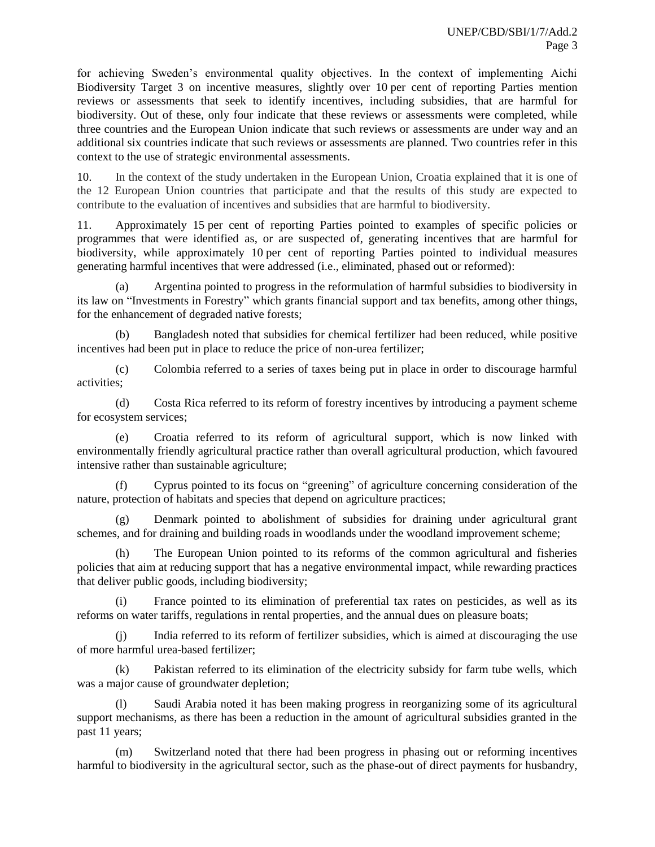for achieving Sweden's environmental quality objectives. In the context of implementing Aichi Biodiversity Target 3 on incentive measures, slightly over 10 per cent of reporting Parties mention reviews or assessments that seek to identify incentives, including subsidies, that are harmful for biodiversity. Out of these, only four indicate that these reviews or assessments were completed, while three countries and the European Union indicate that such reviews or assessments are under way and an additional six countries indicate that such reviews or assessments are planned. Two countries refer in this context to the use of strategic environmental assessments.

10. In the context of the study undertaken in the European Union, Croatia explained that it is one of the 12 European Union countries that participate and that the results of this study are expected to contribute to the evaluation of incentives and subsidies that are harmful to biodiversity.

11. Approximately 15 per cent of reporting Parties pointed to examples of specific policies or programmes that were identified as, or are suspected of, generating incentives that are harmful for biodiversity, while approximately 10 per cent of reporting Parties pointed to individual measures generating harmful incentives that were addressed (i.e., eliminated, phased out or reformed):

(a) Argentina pointed to progress in the reformulation of harmful subsidies to biodiversity in its law on "Investments in Forestry" which grants financial support and tax benefits, among other things, for the enhancement of degraded native forests;

(b) Bangladesh noted that subsidies for chemical fertilizer had been reduced, while positive incentives had been put in place to reduce the price of non-urea fertilizer;

(c) Colombia referred to a series of taxes being put in place in order to discourage harmful activities;

(d) Costa Rica referred to its reform of forestry incentives by introducing a payment scheme for ecosystem services;

(e) Croatia referred to its reform of agricultural support, which is now linked with environmentally friendly agricultural practice rather than overall agricultural production, which favoured intensive rather than sustainable agriculture;

(f) Cyprus pointed to its focus on "greening" of agriculture concerning consideration of the nature, protection of habitats and species that depend on agriculture practices;

(g) Denmark pointed to abolishment of subsidies for draining under agricultural grant schemes, and for draining and building roads in woodlands under the woodland improvement scheme;

(h) The European Union pointed to its reforms of the common agricultural and fisheries policies that aim at reducing support that has a negative environmental impact, while rewarding practices that deliver public goods, including biodiversity;

(i) France pointed to its elimination of preferential tax rates on pesticides, as well as its reforms on water tariffs, regulations in rental properties, and the annual dues on pleasure boats;

(j) India referred to its reform of fertilizer subsidies, which is aimed at discouraging the use of more harmful urea-based fertilizer;

(k) Pakistan referred to its elimination of the electricity subsidy for farm tube wells, which was a major cause of groundwater depletion;

(l) Saudi Arabia noted it has been making progress in reorganizing some of its agricultural support mechanisms, as there has been a reduction in the amount of agricultural subsidies granted in the past 11 years;

(m) Switzerland noted that there had been progress in phasing out or reforming incentives harmful to biodiversity in the agricultural sector, such as the phase-out of direct payments for husbandry,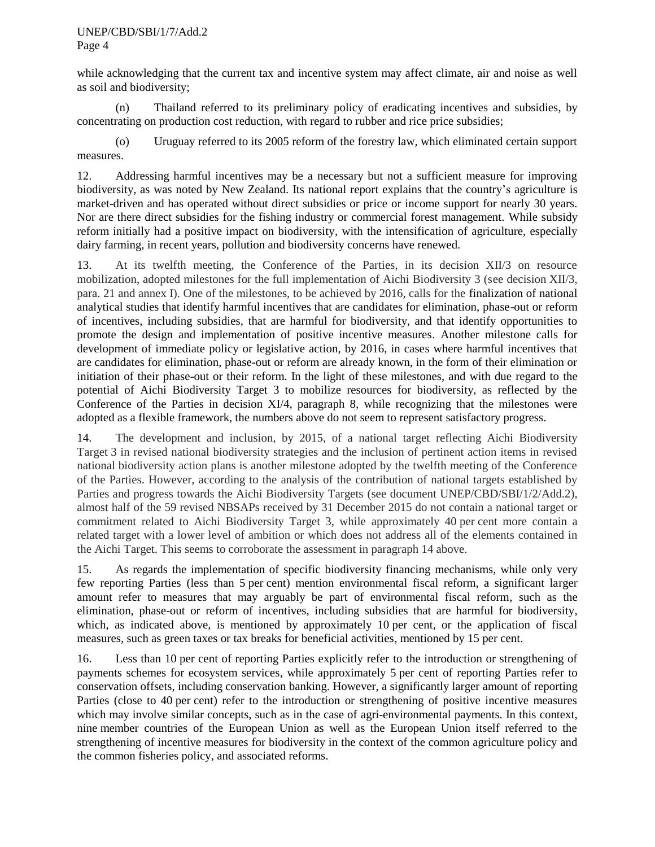#### UNEP/CBD/SBI/1/7/Add.2

Page 4

while acknowledging that the current tax and incentive system may affect climate, air and noise as well as soil and biodiversity;

(n) Thailand referred to its preliminary policy of eradicating incentives and subsidies, by concentrating on production cost reduction, with regard to rubber and rice price subsidies;

(o) Uruguay referred to its 2005 reform of the forestry law, which eliminated certain support measures.

12. Addressing harmful incentives may be a necessary but not a sufficient measure for improving biodiversity, as was noted by New Zealand. Its national report explains that the country's agriculture is market-driven and has operated without direct subsidies or price or income support for nearly 30 years. Nor are there direct subsidies for the fishing industry or commercial forest management. While subsidy reform initially had a positive impact on biodiversity, with the intensification of agriculture, especially dairy farming, in recent years, pollution and biodiversity concerns have renewed.

13. At its twelfth meeting, the Conference of the Parties, in its decision XII/3 on resource mobilization, adopted milestones for the full implementation of Aichi Biodiversity 3 (see decision XII/3, para. 21 and annex I). One of the milestones, to be achieved by 2016, calls for the finalization of national analytical studies that identify harmful incentives that are candidates for elimination, phase-out or reform of incentives, including subsidies, that are harmful for biodiversity, and that identify opportunities to promote the design and implementation of positive incentive measures. Another milestone calls for development of immediate policy or legislative action, by 2016, in cases where harmful incentives that are candidates for elimination, phase-out or reform are already known, in the form of their elimination or initiation of their phase-out or their reform. In the light of these milestones, and with due regard to the potential of Aichi Biodiversity Target 3 to mobilize resources for biodiversity, as reflected by the Conference of the Parties in decision XI/4, paragraph 8, while recognizing that the milestones were adopted as a flexible framework, the numbers above do not seem to represent satisfactory progress.

<span id="page-3-0"></span>14. The development and inclusion, by 2015, of a national target reflecting Aichi Biodiversity Target 3 in revised national biodiversity strategies and the inclusion of pertinent action items in revised national biodiversity action plans is another milestone adopted by the twelfth meeting of the Conference of the Parties. However, according to the analysis of the contribution of national targets established by Parties and progress towards the Aichi Biodiversity Targets (see document UNEP/CBD/SBI/1/2/Add.2), almost half of the 59 revised NBSAPs received by 31 December 2015 do not contain a national target or commitment related to Aichi Biodiversity Target 3, while approximately 40 per cent more contain a related target with a lower level of ambition or which does not address all of the elements contained in the Aichi Target. This seems to corroborate the assessment in paragraph [14](#page-3-0) above.

15. As regards the implementation of specific biodiversity financing mechanisms, while only very few reporting Parties (less than 5 per cent) mention environmental fiscal reform, a significant larger amount refer to measures that may arguably be part of environmental fiscal reform, such as the elimination, phase-out or reform of incentives, including subsidies that are harmful for biodiversity, which, as indicated above, is mentioned by approximately 10 per cent, or the application of fiscal measures, such as green taxes or tax breaks for beneficial activities, mentioned by 15 per cent.

16. Less than 10 per cent of reporting Parties explicitly refer to the introduction or strengthening of payments schemes for ecosystem services, while approximately 5 per cent of reporting Parties refer to conservation offsets, including conservation banking. However, a significantly larger amount of reporting Parties (close to 40 per cent) refer to the introduction or strengthening of positive incentive measures which may involve similar concepts, such as in the case of agri-environmental payments. In this context, nine member countries of the European Union as well as the European Union itself referred to the strengthening of incentive measures for biodiversity in the context of the common agriculture policy and the common fisheries policy, and associated reforms.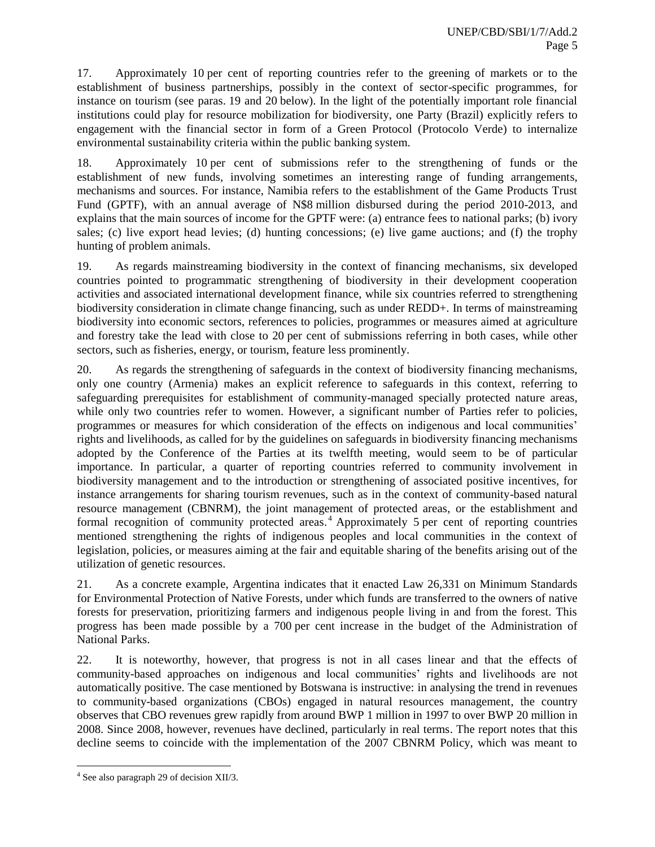17. Approximately 10 per cent of reporting countries refer to the greening of markets or to the establishment of business partnerships, possibly in the context of sector-specific programmes, for instance on tourism (see paras. [19](#page-4-0) and [20](#page-4-1) below). In the light of the potentially important role financial institutions could play for resource mobilization for biodiversity, one Party (Brazil) explicitly refers to engagement with the financial sector in form of a Green Protocol (Protocolo Verde) to internalize environmental sustainability criteria within the public banking system.

18. Approximately 10 per cent of submissions refer to the strengthening of funds or the establishment of new funds, involving sometimes an interesting range of funding arrangements, mechanisms and sources. For instance, Namibia refers to the establishment of the Game Products Trust Fund (GPTF), with an annual average of N\$8 million disbursed during the period 2010-2013, and explains that the main sources of income for the GPTF were: (a) entrance fees to national parks; (b) ivory sales; (c) live export head levies; (d) hunting concessions; (e) live game auctions; and (f) the trophy hunting of problem animals.

<span id="page-4-0"></span>19. As regards mainstreaming biodiversity in the context of financing mechanisms, six developed countries pointed to programmatic strengthening of biodiversity in their development cooperation activities and associated international development finance, while six countries referred to strengthening biodiversity consideration in climate change financing, such as under REDD+. In terms of mainstreaming biodiversity into economic sectors, references to policies, programmes or measures aimed at agriculture and forestry take the lead with close to 20 per cent of submissions referring in both cases, while other sectors, such as fisheries, energy, or tourism, feature less prominently.

<span id="page-4-1"></span>20. As regards the strengthening of safeguards in the context of biodiversity financing mechanisms, only one country (Armenia) makes an explicit reference to safeguards in this context, referring to safeguarding prerequisites for establishment of community-managed specially protected nature areas, while only two countries refer to women. However, a significant number of Parties refer to policies, programmes or measures for which consideration of the effects on indigenous and local communities' rights and livelihoods, as called for by the guidelines on safeguards in biodiversity financing mechanisms adopted by the Conference of the Parties at its twelfth meeting, would seem to be of particular importance. In particular, a quarter of reporting countries referred to community involvement in biodiversity management and to the introduction or strengthening of associated positive incentives, for instance arrangements for sharing tourism revenues, such as in the context of community-based natural resource management (CBNRM), the joint management of protected areas, or the establishment and formal recognition of community protected areas.<sup>4</sup> Approximately 5 per cent of reporting countries mentioned strengthening the rights of indigenous peoples and local communities in the context of legislation, policies, or measures aiming at the fair and equitable sharing of the benefits arising out of the utilization of genetic resources.

21. As a concrete example, Argentina indicates that it enacted Law 26,331 on Minimum Standards for Environmental Protection of Native Forests, under which funds are transferred to the owners of native forests for preservation, prioritizing farmers and indigenous people living in and from the forest. This progress has been made possible by a 700 per cent increase in the budget of the Administration of National Parks.

22. It is noteworthy, however, that progress is not in all cases linear and that the effects of community-based approaches on indigenous and local communities' rights and livelihoods are not automatically positive. The case mentioned by Botswana is instructive: in analysing the trend in revenues to community-based organizations (CBOs) engaged in natural resources management, the country observes that CBO revenues grew rapidly from around BWP 1 million in 1997 to over BWP 20 million in 2008. Since 2008, however, revenues have declined, particularly in real terms. The report notes that this decline seems to coincide with the implementation of the 2007 CBNRM Policy, which was meant to

 4 See also paragraph 29 of decision XII/3.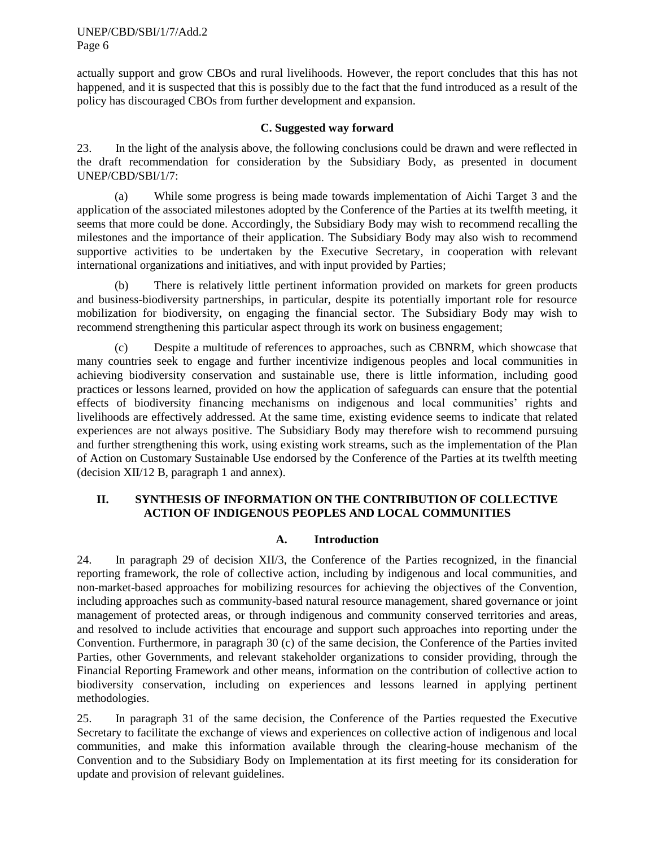UNEP/CBD/SBI/1/7/Add.2 Page 6

actually support and grow CBOs and rural livelihoods. However, the report concludes that this has not happened, and it is suspected that this is possibly due to the fact that the fund introduced as a result of the policy has discouraged CBOs from further development and expansion.

#### **C. Suggested way forward**

23. In the light of the analysis above, the following conclusions could be drawn and were reflected in the draft recommendation for consideration by the Subsidiary Body, as presented in document UNEP/CBD/SBI/1/7:

(a) While some progress is being made towards implementation of Aichi Target 3 and the application of the associated milestones adopted by the Conference of the Parties at its twelfth meeting, it seems that more could be done. Accordingly, the Subsidiary Body may wish to recommend recalling the milestones and the importance of their application. The Subsidiary Body may also wish to recommend supportive activities to be undertaken by the Executive Secretary, in cooperation with relevant international organizations and initiatives, and with input provided by Parties;

(b) There is relatively little pertinent information provided on markets for green products and business-biodiversity partnerships, in particular, despite its potentially important role for resource mobilization for biodiversity, on engaging the financial sector. The Subsidiary Body may wish to recommend strengthening this particular aspect through its work on business engagement;

(c) Despite a multitude of references to approaches, such as CBNRM, which showcase that many countries seek to engage and further incentivize indigenous peoples and local communities in achieving biodiversity conservation and sustainable use, there is little information, including good practices or lessons learned, provided on how the application of safeguards can ensure that the potential effects of biodiversity financing mechanisms on indigenous and local communities' rights and livelihoods are effectively addressed. At the same time, existing evidence seems to indicate that related experiences are not always positive. The Subsidiary Body may therefore wish to recommend pursuing and further strengthening this work, using existing work streams, such as the implementation of the Plan of Action on Customary Sustainable Use endorsed by the Conference of the Parties at its twelfth meeting (decision XII/12 B, paragraph 1 and annex).

## **II. SYNTHESIS OF INFORMATION ON THE CONTRIBUTION OF COLLECTIVE ACTION OF INDIGENOUS PEOPLES AND LOCAL COMMUNITIES**

#### **A. Introduction**

24. In paragraph 29 of decision XII/3, the Conference of the Parties recognized, in the financial reporting framework, the role of collective action, including by indigenous and local communities, and non-market-based approaches for mobilizing resources for achieving the objectives of the Convention, including approaches such as community-based natural resource management, shared governance or joint management of protected areas, or through indigenous and community conserved territories and areas, and resolved to include activities that encourage and support such approaches into reporting under the Convention. Furthermore, in paragraph 30 (c) of the same decision, the Conference of the Parties invited Parties, other Governments, and relevant stakeholder organizations to consider providing, through the Financial Reporting Framework and other means, information on the contribution of collective action to biodiversity conservation, including on experiences and lessons learned in applying pertinent methodologies.

25. In paragraph 31 of the same decision, the Conference of the Parties requested the Executive Secretary to facilitate the exchange of views and experiences on collective action of indigenous and local communities, and make this information available through the clearing-house mechanism of the Convention and to the Subsidiary Body on Implementation at its first meeting for its consideration for update and provision of relevant guidelines.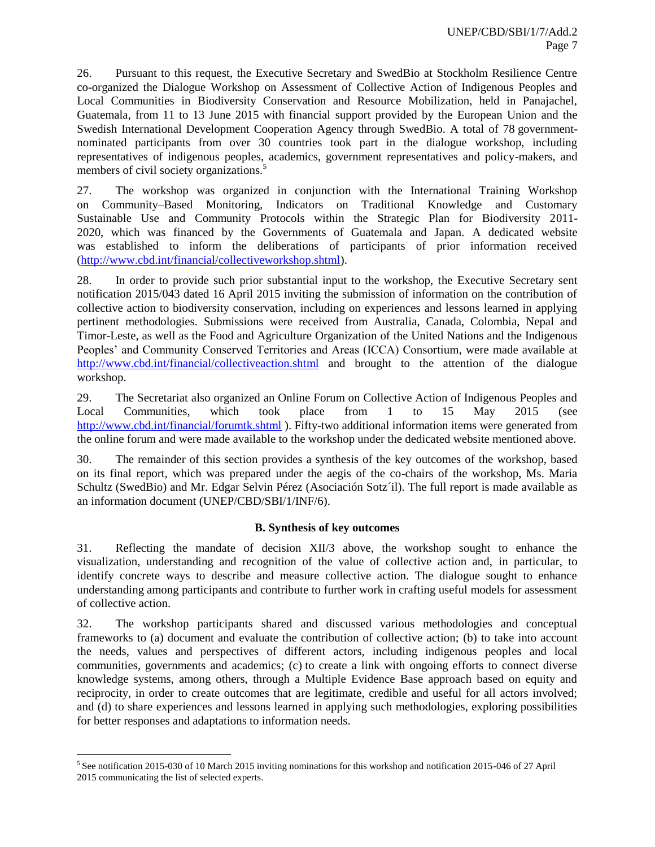26. Pursuant to this request, the Executive Secretary and SwedBio at Stockholm Resilience Centre co-organized the Dialogue Workshop on Assessment of Collective Action of Indigenous Peoples and Local Communities in Biodiversity Conservation and Resource Mobilization, held in Panajachel, Guatemala, from 11 to 13 June 2015 with financial support provided by the European Union and the Swedish International Development Cooperation Agency through SwedBio. A total of 78 governmentnominated participants from over 30 countries took part in the dialogue workshop, including representatives of indigenous peoples, academics, government representatives and policy-makers, and members of civil society organizations.<sup>5</sup>

27. The workshop was organized in conjunction with the International Training Workshop on Community–Based Monitoring, Indicators on Traditional Knowledge and Customary Sustainable Use and Community Protocols within the Strategic Plan for Biodiversity 2011- 2020, which was financed by the Governments of Guatemala and Japan. A dedicated website was established to inform the deliberations of participants of prior information received [\(http://www.cbd.int/financial/collectiveworkshop.shtml\)](http://www.cbd.int/financial/collectiveworkshop.shtml).

28. In order to provide such prior substantial input to the workshop, the Executive Secretary sent notification 2015/043 dated 16 April 2015 inviting the submission of information on the contribution of collective action to biodiversity conservation, including on experiences and lessons learned in applying pertinent methodologies. Submissions were received from Australia, Canada, Colombia, Nepal and Timor-Leste, as well as the Food and Agriculture Organization of the United Nations and the Indigenous Peoples' and Community Conserved Territories and Areas (ICCA) Consortium, were made available at <http://www.cbd.int/financial/collectiveaction.shtml> and brought to the attention of the dialogue workshop.

29. The Secretariat also organized an Online Forum on Collective Action of Indigenous Peoples and Local Communities, which took place from 1 to 15 May 2015 (see <http://www.cbd.int/financial/forumtk.shtml> ). Fifty-two additional information items were generated from the online forum and were made available to the workshop under the dedicated website mentioned above.

30. The remainder of this section provides a synthesis of the key outcomes of the workshop, based on its final report, which was prepared under the aegis of the co-chairs of the workshop, Ms. Maria Schultz (SwedBio) and Mr. Edgar Selvin Pérez (Asociación Sotz´il). The full report is made available as an information document (UNEP/CBD/SBI/1/INF/6).

## **B. Synthesis of key outcomes**

31. Reflecting the mandate of decision XII/3 above, the workshop sought to enhance the visualization, understanding and recognition of the value of collective action and, in particular, to identify concrete ways to describe and measure collective action. The dialogue sought to enhance understanding among participants and contribute to further work in crafting useful models for assessment of collective action.

32. The workshop participants shared and discussed various methodologies and conceptual frameworks to (a) document and evaluate the contribution of collective action; (b) to take into account the needs, values and perspectives of different actors, including indigenous peoples and local communities, governments and academics; (c) to create a link with ongoing efforts to connect diverse knowledge systems, among others, through a Multiple Evidence Base approach based on equity and reciprocity, in order to create outcomes that are legitimate, credible and useful for all actors involved; and (d) to share experiences and lessons learned in applying such methodologies, exploring possibilities for better responses and adaptations to information needs.

l

<sup>&</sup>lt;sup>5</sup> See notification 2015-030 of 10 March 2015 inviting nominations for this workshop and notification 2015-046 of 27 April 2015 communicating the list of selected experts.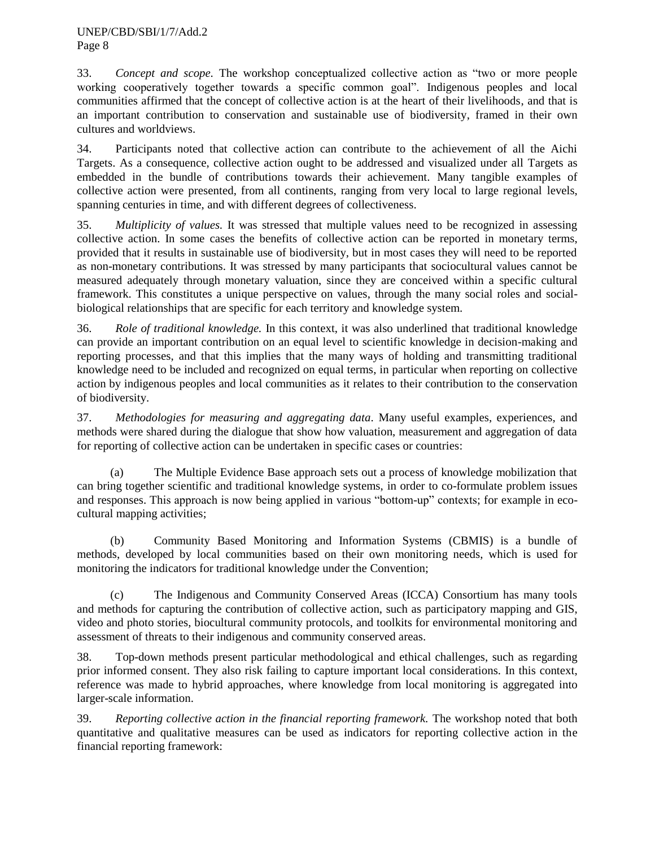33. *Concept and scope.* The workshop conceptualized collective action as "two or more people working cooperatively together towards a specific common goal". Indigenous peoples and local communities affirmed that the concept of collective action is at the heart of their livelihoods, and that is an important contribution to conservation and sustainable use of biodiversity, framed in their own cultures and worldviews.

34. Participants noted that collective action can contribute to the achievement of all the Aichi Targets. As a consequence, collective action ought to be addressed and visualized under all Targets as embedded in the bundle of contributions towards their achievement. Many tangible examples of collective action were presented, from all continents, ranging from very local to large regional levels, spanning centuries in time, and with different degrees of collectiveness.

35. *Multiplicity of values.* It was stressed that multiple values need to be recognized in assessing collective action. In some cases the benefits of collective action can be reported in monetary terms, provided that it results in sustainable use of biodiversity, but in most cases they will need to be reported as non-monetary contributions. It was stressed by many participants that sociocultural values cannot be measured adequately through monetary valuation, since they are conceived within a specific cultural framework. This constitutes a unique perspective on values, through the many social roles and socialbiological relationships that are specific for each territory and knowledge system.

36. *Role of traditional knowledge.* In this context, it was also underlined that traditional knowledge can provide an important contribution on an equal level to scientific knowledge in decision-making and reporting processes, and that this implies that the many ways of holding and transmitting traditional knowledge need to be included and recognized on equal terms, in particular when reporting on collective action by indigenous peoples and local communities as it relates to their contribution to the conservation of biodiversity.

37. *Methodologies for measuring and aggregating data*. Many useful examples, experiences, and methods were shared during the dialogue that show how valuation, measurement and aggregation of data for reporting of collective action can be undertaken in specific cases or countries:

(a) The Multiple Evidence Base approach sets out a process of knowledge mobilization that can bring together scientific and traditional knowledge systems, in order to co-formulate problem issues and responses. This approach is now being applied in various "bottom-up" contexts; for example in ecocultural mapping activities;

(b) Community Based Monitoring and Information Systems (CBMIS) is a bundle of methods, developed by local communities based on their own monitoring needs, which is used for monitoring the indicators for traditional knowledge under the Convention;

(c) The Indigenous and Community Conserved Areas (ICCA) Consortium has many tools and methods for capturing the contribution of collective action, such as participatory mapping and GIS, video and photo stories, biocultural community protocols, and toolkits for environmental monitoring and assessment of threats to their indigenous and community conserved areas.

38. Top-down methods present particular methodological and ethical challenges, such as regarding prior informed consent. They also risk failing to capture important local considerations. In this context, reference was made to hybrid approaches, where knowledge from local monitoring is aggregated into larger-scale information.

39. *Reporting collective action in the financial reporting framework.* The workshop noted that both quantitative and qualitative measures can be used as indicators for reporting collective action in the financial reporting framework: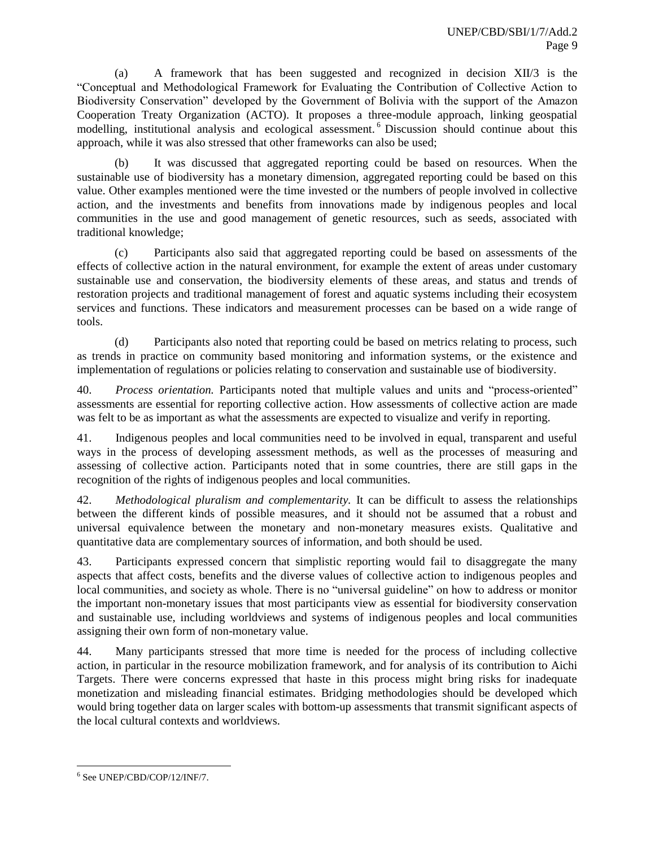(a) A framework that has been suggested and recognized in decision XII/3 is the "Conceptual and Methodological Framework for Evaluating the Contribution of Collective Action to Biodiversity Conservation" developed by the Government of Bolivia with the support of the Amazon Cooperation Treaty Organization (ACTO). It proposes a three-module approach, linking geospatial modelling, institutional analysis and ecological assessment.<sup>6</sup> Discussion should continue about this approach, while it was also stressed that other frameworks can also be used;

(b) It was discussed that aggregated reporting could be based on resources. When the sustainable use of biodiversity has a monetary dimension, aggregated reporting could be based on this value. Other examples mentioned were the time invested or the numbers of people involved in collective action, and the investments and benefits from innovations made by indigenous peoples and local communities in the use and good management of genetic resources, such as seeds, associated with traditional knowledge;

(c) Participants also said that aggregated reporting could be based on assessments of the effects of collective action in the natural environment, for example the extent of areas under customary sustainable use and conservation, the biodiversity elements of these areas, and status and trends of restoration projects and traditional management of forest and aquatic systems including their ecosystem services and functions. These indicators and measurement processes can be based on a wide range of tools.

(d) Participants also noted that reporting could be based on metrics relating to process, such as trends in practice on community based monitoring and information systems, or the existence and implementation of regulations or policies relating to conservation and sustainable use of biodiversity.

40. *Process orientation.* Participants noted that multiple values and units and "process-oriented" assessments are essential for reporting collective action. How assessments of collective action are made was felt to be as important as what the assessments are expected to visualize and verify in reporting.

41. Indigenous peoples and local communities need to be involved in equal, transparent and useful ways in the process of developing assessment methods, as well as the processes of measuring and assessing of collective action. Participants noted that in some countries, there are still gaps in the recognition of the rights of indigenous peoples and local communities.

42. *Methodological pluralism and complementarity.* It can be difficult to assess the relationships between the different kinds of possible measures, and it should not be assumed that a robust and universal equivalence between the monetary and non-monetary measures exists. Qualitative and quantitative data are complementary sources of information, and both should be used.

43. Participants expressed concern that simplistic reporting would fail to disaggregate the many aspects that affect costs, benefits and the diverse values of collective action to indigenous peoples and local communities, and society as whole. There is no "universal guideline" on how to address or monitor the important non-monetary issues that most participants view as essential for biodiversity conservation and sustainable use, including worldviews and systems of indigenous peoples and local communities assigning their own form of non-monetary value.

44. Many participants stressed that more time is needed for the process of including collective action, in particular in the resource mobilization framework, and for analysis of its contribution to Aichi Targets. There were concerns expressed that haste in this process might bring risks for inadequate monetization and misleading financial estimates. Bridging methodologies should be developed which would bring together data on larger scales with bottom-up assessments that transmit significant aspects of the local cultural contexts and worldviews.

 $\overline{a}$ 6 See UNEP/CBD/COP/12/INF/7.